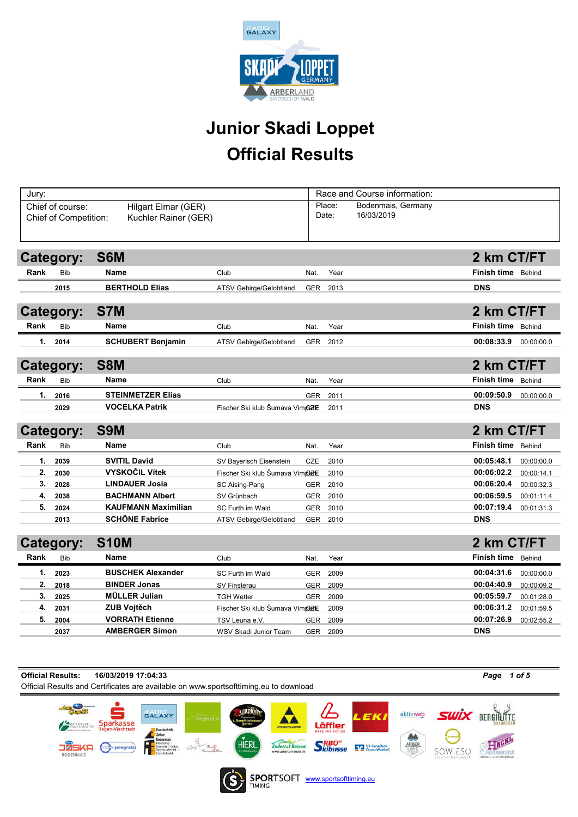

# Official Results Junior Skadi Loppet

| Jury: |                                        |                                                                                       |                                             |                   |                                          | Race and Course information: |                  |                           |            |
|-------|----------------------------------------|---------------------------------------------------------------------------------------|---------------------------------------------|-------------------|------------------------------------------|------------------------------|------------------|---------------------------|------------|
|       | Chief of course:                       | Hilgart Elmar (GER)                                                                   |                                             |                   | Place:                                   | Bodenmais, Germany           |                  |                           |            |
|       | Chief of Competition:                  | Kuchler Rainer (GER)                                                                  |                                             |                   | Date:                                    | 16/03/2019                   |                  |                           |            |
|       |                                        |                                                                                       |                                             |                   |                                          |                              |                  |                           |            |
|       |                                        |                                                                                       |                                             |                   |                                          |                              |                  |                           |            |
|       | <b>Category:</b>                       | S6M                                                                                   |                                             |                   |                                          |                              |                  | 2 km CT/FT                |            |
| Rank  | Bib                                    | Name                                                                                  | Club                                        | Nat.              | Year                                     |                              |                  | Finish time Behind        |            |
|       | 2015                                   | <b>BERTHOLD Elias</b>                                                                 | <b>ATSV Gebirge/Gelobtland</b>              | <b>GER</b>        | 2013                                     |                              |                  | <b>DNS</b>                |            |
|       |                                        |                                                                                       |                                             |                   |                                          |                              |                  |                           |            |
|       | Category:                              | S7M                                                                                   |                                             |                   |                                          |                              |                  | 2 km CT/FT                |            |
| Rank  | Bib                                    | Name                                                                                  | Club                                        | Nat.              | Year                                     |                              |                  | <b>Finish time</b> Behind |            |
| 1.    | 2014                                   | <b>SCHUBERT Benjamin</b>                                                              | <b>ATSV Gebirge/Gelobtland</b>              |                   | GER 2012                                 |                              |                  | 00:08:33.9                | 00:00:00.0 |
|       |                                        |                                                                                       |                                             |                   |                                          |                              |                  |                           |            |
|       | Category:                              | S8M                                                                                   |                                             |                   |                                          |                              |                  | 2 km CT/FT                |            |
| Rank  | <b>Bib</b>                             | Name                                                                                  | Club                                        | Nat.              | Year                                     |                              |                  | Finish time Behind        |            |
| 1.    | 2016                                   | <b>STEINMETZER Elias</b>                                                              |                                             | GER               | 2011                                     |                              |                  | 00:09:50.9                | 00:00:00.0 |
|       | 2029                                   | <b>VOCELKA Patrik</b>                                                                 | Fischer Ski klub Šumava Vimpark             |                   | 2011                                     |                              |                  | <b>DNS</b>                |            |
|       |                                        |                                                                                       |                                             |                   |                                          |                              |                  |                           |            |
|       | Category:                              | S9M                                                                                   |                                             |                   |                                          |                              |                  | 2 km CT/FT                |            |
| Rank  | <b>Bib</b>                             | Name                                                                                  | Club                                        | Nat.              | Year                                     |                              |                  | Finish time Behind        |            |
| 1.    | 2039                                   | <b>SVITIL David</b>                                                                   | SV Bayerisch Eisenstein                     | CZE               | 2010                                     |                              |                  | 00:05:48.1                | 00:00:00.0 |
| 2.    | 2030                                   | <b>VYSKOČIL Vítek</b>                                                                 | Fischer Ski klub Šumava Vimpark             |                   | 2010                                     |                              |                  | 00:06:02.2                | 00:00:14.1 |
| 3.    | 2028                                   | <b>LINDAUER Josia</b>                                                                 | SC Aising-Pang                              | <b>GER</b>        | 2010                                     |                              |                  | 00:06:20.4                | 00:00:32.3 |
| 4.    | 2038                                   | <b>BACHMANN Albert</b>                                                                | SV Grünbach                                 | <b>GER</b>        | 2010                                     |                              |                  | 00:06:59.5                | 00:01:11.4 |
| 5.    | 2024<br>2013                           | <b>KAUFMANN Maximilian</b><br><b>SCHÖNE Fabrice</b>                                   | SC Furth im Wald<br>ATSV Gebirge/Gelobtland | <b>GER</b><br>GER | 2010<br>2010                             |                              |                  | 00:07:19.4<br><b>DNS</b>  | 00:01:31.3 |
|       |                                        |                                                                                       |                                             |                   |                                          |                              |                  |                           |            |
|       | Category:                              | <b>S10M</b>                                                                           |                                             |                   |                                          |                              |                  | 2 km CT/FT                |            |
| Rank  | <b>Bib</b>                             | Name                                                                                  | Club                                        | Nat.              | Year                                     |                              |                  | Finish time               | Behind     |
| 1.    | 2023                                   | <b>BUSCHEK Alexander</b>                                                              | SC Furth im Wald                            | <b>GER</b>        | 2009                                     |                              |                  | 00:04:31.6                | 00:00:00.0 |
| 2.    | 2018                                   | <b>BINDER Jonas</b>                                                                   | <b>SV Finsterau</b>                         | <b>GER</b>        | 2009                                     |                              |                  | 00:04:40.9                | 00:00:09.2 |
| 3.    | 2025                                   | <b>MÜLLER Julian</b>                                                                  | <b>TGH Wetter</b>                           | <b>GER</b>        | 2009                                     |                              |                  | 00:05:59.7                | 00:01:28.0 |
| 4.    | 2031                                   | <b>ZUB Vojtěch</b>                                                                    | Fischer Ski klub Šumava Vimpark             |                   | 2009                                     |                              |                  | 00:06:31.2                | 00:01:59.5 |
| 5.    | 2004                                   | <b>VORRATH Etienne</b>                                                                | TSV Leuna e.V.                              | <b>GER</b>        | 2009                                     |                              |                  | 00:07:26.9                | 00:02:55.2 |
|       | 2037                                   | <b>AMBERGER Simon</b>                                                                 | <b>WSV Skadi Junior Team</b>                |                   | GER 2009                                 |                              |                  | <b>DNS</b>                |            |
|       |                                        |                                                                                       |                                             |                   |                                          |                              |                  |                           |            |
|       |                                        |                                                                                       |                                             |                   |                                          |                              |                  |                           |            |
|       | <b>Official Results:</b>               | 16/03/2019 17:04:33                                                                   |                                             |                   |                                          |                              |                  | Page 1 of 5               |            |
|       |                                        | Official Results and Certificates are available on www.sportsofttiming.eu to download |                                             |                   |                                          |                              |                  |                           |            |
|       |                                        |                                                                                       |                                             |                   |                                          |                              |                  |                           |            |
|       |                                        | <b>GALAXY</b>                                                                         |                                             |                   |                                          | aktivweb<br>LEKI             | <b>SWIX BERG</b> |                           |            |
|       | <i><b>IYERISCHE</b></i><br>AATSFORSTEN | Sparkasse<br><b>Regen-Viechtach</b><br>laustechnil                                    | FISCHER                                     |                   | Löffler<br><b><i>MARE FOR BETTER</i></b> |                              |                  |                           |            |
|       |                                        | Zelzer<br>nitär Sola                                                                  | <b>Zellertal Reisen</b>                     |                   | SRBO <sup>®</sup>                        | ♨<br>ARBER                   |                  |                           |            |
|       | <b>BODENMAIS</b>                       | pongrat<br>penglere                                                                   | www.zellertaf-reisen.de                     |                   |                                          | VR GenoBank<br>LAND          | SOWIESC          |                           |            |



SPORTSOFT www.sportsofttiming.eu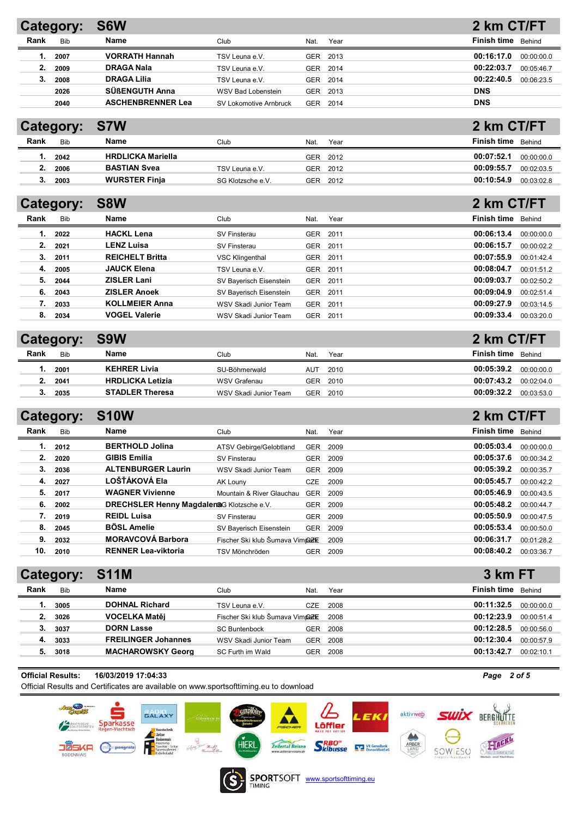|      | Category:  | S6W                      |                        |      |      | 2 km CT/FT               |
|------|------------|--------------------------|------------------------|------|------|--------------------------|
| Rank | <b>Bib</b> | Name                     | Club                   | Nat. | Year | Finish time<br>Behind    |
|      | 2007       | <b>VORRATH Hannah</b>    | TSV Leuna e.V.         | GER  | 2013 | 00:16:17.0<br>00:00:00.0 |
| 2.   | 2009       | <b>DRAGA Nala</b>        | TSV Leuna e.V.         | GER  | 2014 | 00:22:03.7<br>00:05:46.7 |
|      | 2008       | <b>DRAGA Lilia</b>       | TSV Leuna e.V.         | GER  | 2014 | 00:22:40.5<br>00:06:23.5 |
|      | 2026       | SÜßENGUTH Anna           | WSV Bad Lobenstein     | GER  | 2013 | <b>DNS</b>               |
|      | 2040       | <b>ASCHENBRENNER Lea</b> | SV Lokomotive Arnbruck | GER  | 2014 | <b>DNS</b>               |

# Category: S7W

|      | -          |                          |                   |      |      |             |            |
|------|------------|--------------------------|-------------------|------|------|-------------|------------|
| Rank | <b>Bib</b> | Name                     | Club              | Nat. | Year | Finish time | Behind     |
|      | 2042       | <b>HRDLICKA Mariella</b> |                   | GER  | 2012 | 00:07:52.1  | 00:00:00.0 |
|      | 2006       | <b>BASTIAN Svea</b>      | TSV Leuna e.V.    | GER  | 2012 | 00:09:55.7  | 00:02:03.5 |
|      | 2003       | <b>WURSTER Finia</b>     | SG Klotzsche e.V. | GER  | 2012 | 00:10:54.9  | 00:03:02.8 |

2 km CT/FT

2 km CT/FT

| Category: |            | S8W                    |                         |            |      | 2 km CT/FT                |
|-----------|------------|------------------------|-------------------------|------------|------|---------------------------|
| Rank      | <b>Bib</b> | Name                   | Club                    | Nat.       | Year | <b>Finish time</b> Behind |
| 1.        | 2022       | <b>HACKL Lena</b>      | SV Finsterau            | <b>GER</b> | 2011 | 00:06:13.4<br>00:00:00.0  |
| 2.        | 2021       | <b>LENZ Luisa</b>      | SV Finsterau            | <b>GER</b> | 2011 | 00:06:15.7<br>00:00:02.2  |
| 3.        | 2011       | <b>REICHELT Britta</b> | <b>VSC Klingenthal</b>  | <b>GER</b> | 2011 | 00:07:55.9<br>00:01:42.4  |
| 4.        | 2005       | <b>JAUCK Elena</b>     | TSV Leuna e.V.          | <b>GER</b> | 2011 | 00:08:04.7<br>00:01:51.2  |
| 5.        | 2044       | <b>ZISLER Lani</b>     | SV Bayerisch Eisenstein | <b>GER</b> | 2011 | 00:09:03.7<br>00:02:50.2  |
| 6.        | 2043       | <b>ZISLER Anoek</b>    | SV Baverisch Eisenstein | <b>GER</b> | 2011 | 00:09:04.9<br>00:02:51.4  |
|           | 2033       | <b>KOLLMEIER Anna</b>  | WSV Skadi Junior Team   | <b>GER</b> | 2011 | 00:09:27.9<br>00:03:14.5  |
| 8.        | 2034       | <b>VOGEL Valerie</b>   | WSV Skadi Junior Team   | <b>GER</b> | 2011 | 00:09:33.4<br>00:03:20.0  |

|      | Category:  | S9W                     |                       |      |          | 2 km CT/FT  |            |
|------|------------|-------------------------|-----------------------|------|----------|-------------|------------|
| Rank | <b>Rib</b> | Name                    | Club                  | Nat. | Year     | Finish time | Behind     |
|      | 2001       | <b>KEHRER Livia</b>     | SU-Böhmerwald         | AUT  | 2010     | 00:05:39.2  | 00:00:00.0 |
|      | 2041       | <b>HRDLICKA Letizia</b> | WSV Grafenau          |      | GER 2010 | 00:07:43.2  | 00:02:04.0 |
|      | 2035       | <b>STADLER Theresa</b>  | WSV Skadi Junior Team |      | GER 2010 | 00:09:32.2  | 00:03:53.0 |

## Category: S10W

| Rank | Bib  | Name                                              | Club.                           | Nat.       | Year | Finish time | Behind     |
|------|------|---------------------------------------------------|---------------------------------|------------|------|-------------|------------|
| 1.   | 2012 | <b>BERTHOLD Jolina</b>                            | ATSV Gebirge/Gelobtland         | <b>GER</b> | 2009 | 00:05:03.4  | 00:00:00.0 |
| 2.   | 2020 | <b>GIBIS Emilia</b>                               | SV Finsterau                    | <b>GER</b> | 2009 | 00:05:37.6  | 00:00:34.2 |
| 3.   | 2036 | <b>ALTENBURGER Laurin</b>                         | WSV Skadi Junior Team           | <b>GER</b> | 2009 | 00:05:39.2  | 00:00:35.7 |
| 4.   | 2027 | LOŠŤÁKOVÁ Ela                                     | AK Louny                        | <b>CZE</b> | 2009 | 00:05:45.7  | 00:00:42.2 |
| 5.   | 2017 | <b>WAGNER Vivienne</b>                            | Mountain & River Glauchau       | <b>GER</b> | 2009 | 00:05:46.9  | 00:00:43.5 |
| 6.   | 2002 | <b>DRECHSLER Henny Magdaleng</b> G Klotzsche e.V. |                                 | <b>GER</b> | 2009 | 00:05:48.2  | 00:00:44.7 |
| 7.   | 2019 | <b>REIDL Luisa</b>                                | SV Finsterau                    | <b>GER</b> | 2009 | 00:05:50.9  | 00:00:47.5 |
| 8.   | 2045 | <b>BÖSL Amelie</b>                                | SV Bayerisch Eisenstein         | <b>GER</b> | 2009 | 00:05:53.4  | 00:00:50.0 |
| 9.   | 2032 | <b>MORAVCOVÁ Barbora</b>                          | Fischer Ski klub Šumava Vim@ZKE |            | 2009 | 00:06:31.7  | 00:01:28.2 |
| 10.  | 2010 | <b>RENNER Lea-viktoria</b>                        | TSV Mönchröden                  | <b>GER</b> | 2009 | 00:08:40.2  | 00:03:36.7 |

|      |            | Category: S11M             |                                         |            |      | 3 km FT                   |            |
|------|------------|----------------------------|-----------------------------------------|------------|------|---------------------------|------------|
| Rank | <b>Bib</b> | <b>Name</b>                | Club.                                   | Nat.       | Year | <b>Finish time</b> Behind |            |
|      | 3005       | <b>DOHNAL Richard</b>      | TSV Leuna e.V.                          | <b>CZE</b> | 2008 | 00:11:32.5                | 00:00:00.0 |
| 2.   | 3026       | <b>VOCELKA Matěj</b>       | Fischer Ski klub Šumava Vim <b>tezk</b> |            | 2008 | 00:12:23.9                | 00:00:51.4 |
| 3.   | 3037       | <b>DORN Lasse</b>          | <b>SC Buntenbock</b>                    | <b>GER</b> | 2008 | 00:12:28.5                | 00:00:56.0 |
| 4.   | 3033       | <b>FREILINGER Johannes</b> | WSV Skadi Junior Team                   | GER        | 2008 | 00:12:30.4                | 00:00:57.9 |
| 5.   | 3018       | <b>MACHAROWSKY Georg</b>   | SC Furth im Wald                        | GER        | 2008 | 00:13:42.7                | 00:02:10.1 |
|      |            |                            |                                         |            |      |                           |            |

#### Official Results: 16/03/2019 17:04:33 *Page 2 of 5* Official Results and Certificates are available on www.sportsofttiming.eu to download $\bullet$ **Anagography**<br> **Congraphy** Sparkasse Anno Counties **aktivweb SWIX** BERGHUTTE **BALAXY** LEKI Löffler **Matter**<br> **Zelter**<br> **Bodermais**<br> **Experiment Science of the Conduct of the Sundary<br>
<b>Conduct of the Science of the Conduct of the Conduct of the Science of the Conduct of the Conduct of the Conduct of the Conduct of the Co** HIERL  $\begin{picture}(20,10) \put(0,0){\line(1,0){10}} \put(15,0){\line(1,0){10}} \put(15,0){\line(1,0){10}} \put(15,0){\line(1,0){10}} \put(15,0){\line(1,0){10}} \put(15,0){\line(1,0){10}} \put(15,0){\line(1,0){10}} \put(15,0){\line(1,0){10}} \put(15,0){\line(1,0){10}} \put(15,0){\line(1,0){10}} \put(15,0){\line(1,0){10}} \put(15,0){\line(1$ **SRBO**<sup>"</sup><br>Skibusse **EV** Bonachia Zellertal Reisen SOWIESO



SPORTSOFT www.sportsofttiming.eu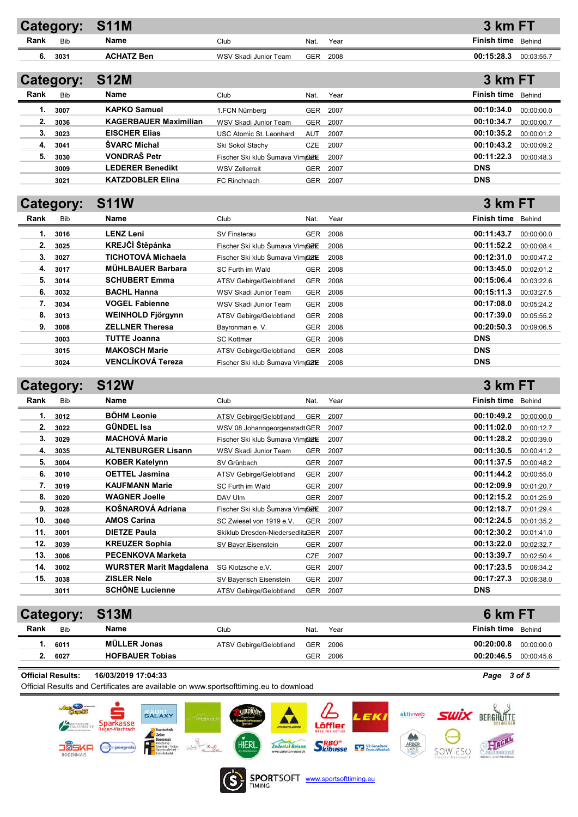|      | <b>Category:</b> | <b>S11M</b>                    |                                  |            |      | 3 km FT            |               |
|------|------------------|--------------------------------|----------------------------------|------------|------|--------------------|---------------|
| Rank | Bib              | Name                           | Club                             | Nat.       | Year | <b>Finish time</b> | Behind        |
| 6.   | 3031             | <b>ACHATZ Ben</b>              | WSV Skadi Junior Team            | <b>GER</b> | 2008 | 00:15:28.3         | 00:03:55.7    |
|      |                  |                                |                                  |            |      |                    |               |
|      | Category:        | <b>S12M</b>                    |                                  |            |      | 3 km FT            |               |
| Rank | <b>Bib</b>       | Name                           | Club                             | Nat.       | Year | <b>Finish time</b> | Behind        |
| 1.   | 3007             | <b>KAPKO Samuel</b>            | 1.FCN Nürnberg                   | GER        | 2007 | 00:10:34.0         | 00:00:00.0    |
| 2.   | 3036             | <b>KAGERBAUER Maximilian</b>   | WSV Skadi Junior Team            | <b>GER</b> | 2007 | 00:10:34.7         | 00:00:00.7    |
| 3.   | 3023             | <b>EISCHER Elias</b>           | USC Atomic St. Leonhard          | <b>AUT</b> | 2007 | 00:10:35.2         | 00:00:01.2    |
| 4.   | 3041             | <b>SVARC Michal</b>            | Ski Sokol Stachy                 | <b>CZE</b> | 2007 | 00:10:43.2         | 00:00:09.2    |
| 5.   | 3030             | <b>VONDRAS Petr</b>            | Fischer Ski klub Šumava Vimpezi  |            | 2007 | 00:11:22.3         | 00:00:48.3    |
|      | 3009             | <b>LEDERER Benedikt</b>        | <b>WSV Zellerreit</b>            | GER        | 2007 | <b>DNS</b>         |               |
|      | 3021             | <b>KATZDOBLER Elina</b>        | FC Rinchnach                     | <b>GER</b> | 2007 | <b>DNS</b>         |               |
|      |                  |                                |                                  |            |      |                    |               |
|      | Category:        | <b>S11W</b>                    |                                  |            |      | 3 km FT            |               |
| Rank | <b>Bib</b>       | <b>Name</b>                    | Club                             | Nat.       | Year | Finish time        | Behind        |
| 1.   | 3016             | <b>LENZ Leni</b>               | <b>SV Finsterau</b>              | GER        | 2008 | 00:11:43.7         | 00:00:00.0    |
| 2.   | 3025             | KREJČÍ Štěpánka                | Fischer Ski klub Šumava Vimpezi  |            | 2008 | 00:11:52.2         | 00:00:08.4    |
| 3.   | 3027             | <b>TICHOTOVÁ Michaela</b>      | Fischer Ski klub Šumava Vimpezk  |            | 2008 | 00:12:31.0         | 00:00:47.2    |
| 4.   | 3017             | <b>MÜHLBAUER Barbara</b>       | SC Furth im Wald                 | <b>GER</b> | 2008 | 00:13:45.0         | 00:02:01.2    |
| 5.   | 3014             | <b>SCHUBERT Emma</b>           | <b>ATSV Gebirge/Gelobtland</b>   | <b>GER</b> | 2008 | 00:15:06.4         | 00:03:22.6    |
| 6.   | 3032             | <b>BACHL Hanna</b>             | WSV Skadi Junior Team            | <b>GER</b> | 2008 | 00:15:11.3         | 00:03:27.5    |
| 7.   | 3034             | <b>VOGEL Fabienne</b>          | WSV Skadi Junior Team            | <b>GER</b> | 2008 | 00:17:08.0         | 00:05:24.2    |
| 8.   | 3013             | WEINHOLD Fjörgynn              | <b>ATSV Gebirge/Gelobtland</b>   | <b>GER</b> | 2008 | 00:17:39.0         | 00:05:55.2    |
| 9.   | 3008             | <b>ZELLNER Theresa</b>         | Bayronman e. V.                  | <b>GER</b> | 2008 | 00:20:50.3         | 00:09:06.5    |
|      | 3003             | <b>TUTTE Joanna</b>            | <b>SC Kottmar</b>                | <b>GER</b> | 2008 | <b>DNS</b>         |               |
|      | 3015             | <b>MAKOSCH Marie</b>           | ATSV Gebirge/Gelobtland          | GER        | 2008 | <b>DNS</b>         |               |
|      | 3024             | <b>VENCLÍKOVÁ Tereza</b>       | Fischer Ski klub Šumava Vimpezk  |            | 2008 | <b>DNS</b>         |               |
|      |                  |                                |                                  |            |      |                    |               |
|      | Category:        | <b>S12W</b>                    |                                  |            |      | 3 km FT            |               |
| Rank | <b>Bib</b>       | Name                           | Club                             | Nat.       | Year | <b>Finish time</b> | <b>Behind</b> |
| 1.   | 3012             | <b>BÖHM Leonie</b>             | <b>ATSV Gebirge/Gelobtland</b>   | <b>GER</b> | 2007 | 00:10:49.2         | 00:00:00.0    |
| 2.   | 3022             | <b>GÜNDEL Isa</b>              | WSV 08 JohanngeorgenstadtGER     |            | 2007 | 00:11:02.0         | 00:00:12.7    |
| 3.   | 3029             | <b>MACHOVÁ Marie</b>           | Fischer Ski klub Šumava Vimpezk  |            | 2007 | 00:11:28.2         | 00:00:39.0    |
| 4.   | 3035             | <b>ALTENBURGER Lisann</b>      | WSV Skadi Junior Team            | <b>GER</b> | 2007 | 00:11:30.5         | 00:00:41.2    |
| 5.   | 3004             | <b>KOBER Katelynn</b>          | SV Grünbach                      | GER        | 2007 | 00:11:37.5         | 00:00:48.2    |
| 6.   | 3010             | <b>OETTEL Jasmina</b>          | ATSV Gebirge/Gelobtland          | <b>GER</b> | 2007 | 00:11:44.2         | 00:00:55.0    |
| 7.   | 3019             | KAUFMANN Marie                 | SC Furth im Wald                 | GER        | 2007 | 00:12:09.9         | 00:01:20.7    |
| 8.   | 3020             | <b>WAGNER Joelle</b>           | DAV Ulm                          | GER        | 2007 | 00:12:15.2         | 00:01:25.9    |
| 9.   | 3028             | KOŠNAROVÁ Adriana              | Fischer Ski klub Šumava Vimpazk  |            | 2007 | 00:12:18.7         | 00:01:29.4    |
| 10.  | 3040             | <b>AMOS Carina</b>             | SC Zwiesel von 1919 e.V.         | GER        | 2007 | 00:12:24.5         | 00:01:35.2    |
| 11.  | 3001             | <b>DIETZE Paula</b>            | Skiklub Dresden-NiedersedlitzGER |            | 2007 | 00:12:30.2         | 00:01:41.0    |
| 12.  | 3039             | <b>KREUZER Sophia</b>          | SV Bayer.Eisenstein              | GER        | 2007 | 00:13:22.0         | 00:02:32.7    |
| 13.  | 3006             | <b>PECENKOVA Marketa</b>       |                                  | CZE        | 2007 | 00:13:39.7         | 00:02:50.4    |
| 14.  | 3002             | <b>WURSTER Marit Magdalena</b> | SG Klotzsche e.V.                | <b>GER</b> | 2007 | 00:17:23.5         | 00:06:34.2    |
| 15.  | 3038             | <b>ZISLER Nele</b>             | SV Bayerisch Eisenstein          | <b>GER</b> | 2007 | 00:17:27.3         | 00:06:38.0    |
|      | 3011             | <b>SCHÖNE Lucienne</b>         | ATSV Gebirge/Gelobtland          | <b>GER</b> | 2007 | <b>DNS</b>         |               |
|      |                  |                                |                                  |            |      |                    |               |

|      |            | <b>Category: S13M</b>  |                         |            |      | 6 km FT     |            |
|------|------------|------------------------|-------------------------|------------|------|-------------|------------|
| Rank | <b>Bib</b> | Name                   | Club                    | Nat.       | Year | Finish time | Behind     |
|      | 6011       | MÜLLER Jonas           | ATSV Gebirge/Gelobtland | <b>GER</b> | 2006 | 00:20:00.8  | 00:00:00.0 |
| ۷.   | 6027       | <b>HOFBAUER Tobias</b> |                         | GER        | 2006 | 00:20:46.5  | 00:00:45.6 |
|      |            |                        |                         |            |      |             |            |

Official Results: 16/03/2019 17:04:33 *Page 3 of 5*

Official Results and Certificates are available on www.sportsofttiming.eu to download





**SPORTSOFT** www.sportsofttiming.eu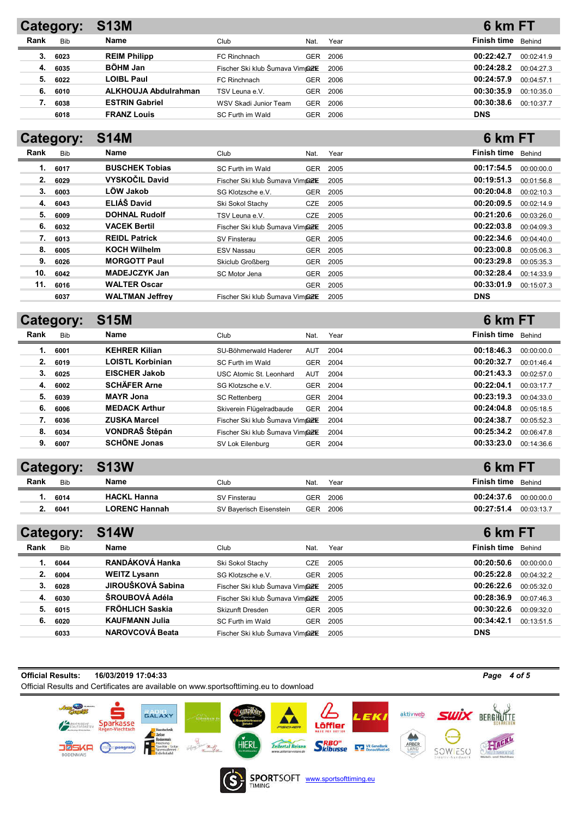|      | Category:  | <b>S13M</b>                 |                                  |      |      | 6 km FT            |            |
|------|------------|-----------------------------|----------------------------------|------|------|--------------------|------------|
| Rank | <b>Bib</b> | Name                        | Club                             | Nat. | Year | Finish time Behind |            |
| 3.   | 6023       | <b>REIM Philipp</b>         | FC Rinchnach                     | GER  | 2006 | 00:22:42.7         | 00:02:41.9 |
| 4.   | 6035       | <b>BÖHM Jan</b>             | Fischer Ski klub Šumava Vimnoz K |      | 2006 | 00:24:28.2         | 00:04:27.3 |
| 5.   | 6022       | <b>LOIBL Paul</b>           | FC Rinchnach                     | GER  | 2006 | 00:24:57.9         | 00:04:57.1 |
| 6.   | 6010       | <b>ALKHOUJA Abdulrahman</b> | TSV Leuna e.V.                   | GER  | 2006 | 00:30:35.9         | 00:10:35.0 |
|      | 6038       | <b>ESTRIN Gabriel</b>       | WSV Skadi Junior Team            | GER  | 2006 | 00:30:38.6         | 00:10:37.7 |
|      | 6018       | <b>FRANZ Louis</b>          | SC Furth im Wald                 | GER  | 2006 | <b>DNS</b>         |            |

6 km FT

6 km FT

6 km FT

# Category: S14M

|      | -------    |                        |                                         |            |          |                    |            |
|------|------------|------------------------|-----------------------------------------|------------|----------|--------------------|------------|
| Rank | <b>Bib</b> | Name                   | Club                                    | Nat.       | Year     | Finish time Behind |            |
| 1.   | 6017       | <b>BUSCHEK Tobias</b>  | SC Furth im Wald                        | <b>GER</b> | 2005     | 00:17:54.5         | 00:00:00.0 |
| 2.   | 6029       | <b>VYSKOČIL David</b>  | Fischer Ski klub Šumava Vim <b>terk</b> |            | 2005     | 00:19:51.3         | 00:01:56.8 |
| 3.   | 6003       | LÖW Jakob              | SG Klotzsche e.V.                       | <b>GER</b> | 2005     | 00:20:04.8         | 00:02:10.3 |
| 4.   | 6043       | ELIÁŠ David            | Ski Sokol Stachy                        | <b>CZE</b> | 2005     | 00:20:09.5         | 00:02:14.9 |
| 5.   | 6009       | <b>DOHNAL Rudolf</b>   | TSV Leuna e.V.                          | <b>CZE</b> | 2005     | 00:21:20.6         | 00:03:26.0 |
| 6.   | 6032       | <b>VACEK Bertil</b>    | Fischer Ski klub Šumava Vim <b>terk</b> |            | 2005     | 00:22:03.8         | 00:04:09.3 |
| 7.   | 6013       | <b>REIDL Patrick</b>   | SV Finsterau                            |            | GER 2005 | 00:22:34.6         | 00:04:40.0 |
| 8.   | 6005       | <b>KOCH Wilhelm</b>    | ESV Nassau                              | GER        | 2005     | 00:23:00.8         | 00:05:06.3 |
| 9.   | 6026       | <b>MORGOTT Paul</b>    | Skiclub Großberg                        | <b>GER</b> | 2005     | 00:23:29.8         | 00:05:35.3 |
| 10.  | 6042       | <b>MADEJCZYK Jan</b>   | SC Motor Jena                           | <b>GER</b> | 2005     | 00:32:28.4         | 00:14:33.9 |
| 11.  | 6016       | <b>WALTER Oscar</b>    |                                         | <b>GER</b> | 2005     | 00:33:01.9         | 00:15:07.3 |
|      | 6037       | <b>WALTMAN Jeffrey</b> | Fischer Ski klub Šumava Vimper          |            | 2005     | <b>DNS</b>         |            |

### Category: S15M

|      | ---        |                         |                                         |            |      |                    |            |
|------|------------|-------------------------|-----------------------------------------|------------|------|--------------------|------------|
| Rank | <b>Bib</b> | <b>Name</b>             | Club                                    | Nat.       | Year | <b>Finish time</b> | Behind     |
| 1.   | 6001       | <b>KEHRER Kilian</b>    | SU-Böhmerwald Haderer                   | AUT        | 2004 | 00:18:46.3         | 00:00:00.0 |
| 2.   | 6019       | <b>LOISTL Korbinian</b> | SC Furth im Wald                        | <b>GER</b> | 2004 | 00:20:32.7         | 00:01:46.4 |
| 3.   | 6025       | <b>EISCHER Jakob</b>    | USC Atomic St. Leonhard                 | AUT        | 2004 | 00:21:43.3         | 00:02:57.0 |
| 4.   | 6002       | <b>SCHÄFER Arne</b>     | SG Klotzsche e.V.                       | <b>GER</b> | 2004 | 00:22:04.1         | 00:03:17.7 |
| 5.   | 6039       | <b>MAYR Jona</b>        | <b>SC Rettenberg</b>                    | <b>GER</b> | 2004 | 00:23:19.3         | 00:04:33.0 |
| 6.   | 6006       | <b>MEDACK Arthur</b>    | Skiverein Flügelradbaude                | <b>GER</b> | 2004 | 00:24:04.8         | 00:05:18.5 |
|      | 6036       | <b>ZUSKA Marcel</b>     | Fischer Ski klub Šumava Vim <b>tezk</b> |            | 2004 | 00:24:38.7         | 00:05:52.3 |
| 8.   | 6034       | VONDRAŠ Štěpán          | Fischer Ski klub Šumava Vim <b>terk</b> |            | 2004 | 00:25:34.2         | 00:06:47.8 |
| 9.   | 6007       | <b>SCHÖNE Jonas</b>     | SV Lok Eilenburg                        | <b>GER</b> | 2004 | 00:33:23.0         | 00:14:36.6 |
|      |            |                         |                                         |            |      |                    |            |

## Category: S13W

|      | $-$ , $-$  | ______               |                         |            |      | _______                  |
|------|------------|----------------------|-------------------------|------------|------|--------------------------|
| Rank | <b>Bib</b> | Name                 | Club                    | Nat.       | Year | Finish time<br>Behind    |
|      | 6014       | <b>HACKL Hanna</b>   | SV Finsterau            | GER        | 2006 | 00:24:37.6<br>00:00:00.0 |
|      | 6041       | <b>LORENC Hannah</b> | SV Baverisch Eisenstein | <b>GER</b> | 2006 | 00:27:51.4<br>00:03:13.7 |

| Category: |            | <b>S14W</b>            |                                  |            |      | 6 km FT                  |
|-----------|------------|------------------------|----------------------------------|------------|------|--------------------------|
| Rank      | <b>Bib</b> | Name                   | Club                             | Nat.       | Year | Finish time Behind       |
| 1.        | 6044       | RANDÁKOVÁ Hanka        | Ski Sokol Stachy                 | <b>CZE</b> | 2005 | 00:20:50.6<br>00:00:00.0 |
| 2.        | 6004       | <b>WEITZ Lysann</b>    | SG Klotzsche e.V.                | <b>GER</b> | 2005 | 00:25:22.8<br>00:04:32.2 |
| 3.        | 6028       | JIROUŠKOVÁ Sabina      | Fischer Ski klub Šumava Vimnoz K |            | 2005 | 00:26:22.6<br>00:05:32.0 |
| 4.        | 6030       | ŠROUBOVÁ Adéla         | Fischer Ski klub Šumava Vimnoz K |            | 2005 | 00:28:36.9<br>00:07:46.3 |
| 5.        | 6015       | <b>FRÖHLICH Saskia</b> | Skizunft Dresden                 | <b>GER</b> | 2005 | 00:30:22.6<br>00:09:32.0 |
| 6.        | 6020       | <b>KAUFMANN Julia</b>  | SC Furth im Wald                 | GER        | 2005 | 00:34:42.1<br>00:13:51.5 |
|           | 6033       | <b>NAROVCOVÁ Beata</b> | Fischer Ski klub Šumava Vimpark  |            | 2005 | <b>DNS</b>               |